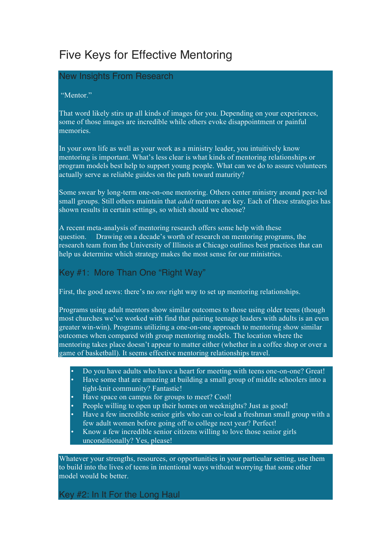# Five Keys for Effective Mentoring

## New Insights From Research

#### "Mentor."

That word likely stirs up all kinds of images for you. Depending on your experiences, some of those images are incredible while others evoke disappointment or painful memories.

In your own life as well as your work as a ministry leader, you intuitively know mentoring is important. What's less clear is what kinds of mentoring relationships or program models best help to support young people. What can we do to assure volunteers actually serve as reliable guides on the path toward maturity?

Some swear by long-term one-on-one mentoring. Others center ministry around peer-led small groups. Still others maintain that *adult* mentors are key. Each of these strategies has shown results in certain settings, so which should we choose?

A recent meta-analysis of mentoring research offers some help with these question. 1 Drawing on a decade's worth of research on mentoring programs, the research team from the University of Illinois at Chicago outlines best practices that can help us determine which strategy makes the most sense for our ministries.

## Key #1: More Than One "Right Way"

First, the good news: there's no *one* right way to set up mentoring relationships.

Programs using adult mentors show similar outcomes to those using older teens (though most churches we've worked with find that pairing teenage leaders with adults is an even greater win-win). Programs utilizing a one-on-one approach to mentoring show similar outcomes when compared with group mentoring models. The location where the mentoring takes place doesn't appear to matter either (whether in a coffee shop or over a game of basketball). It seems effective mentoring relationships travel.

- Do you have adults who have a heart for meeting with teens one-on-one? Great! • Have some that are amazing at building a small group of middle schoolers into a tight-knit community? Fantastic!
- Have space on campus for groups to meet? Cool!
- People willing to open up their homes on weeknights? Just as good!
- Have a few incredible senior girls who can co-lead a freshman small group with a few adult women before going off to college next year? Perfect!
- Know a few incredible senior citizens willing to love those senior girls unconditionally? Yes, please!

Whatever your strengths, resources, or opportunities in your particular setting, use them to build into the lives of teens in intentional ways without worrying that some other model would be better.

Key #2: In It For the Long Haul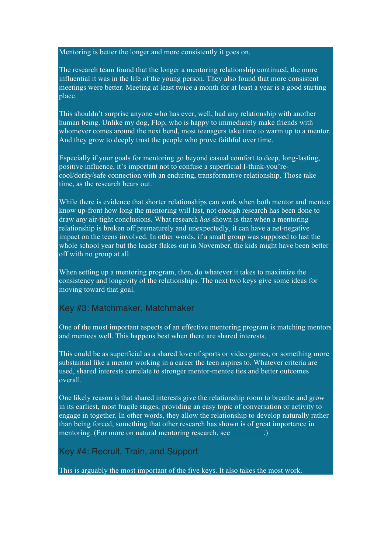Mentoring is better the longer and more consistently it goes on.

The research team found that the longer a mentoring relationship continued, the more influential it was in the life of the young person. They also found that more consistent meetings were better. Meeting at least twice a month for at least a year is a good starting place.

This shouldn't surprise anyone who has ever, well, had any relationship with another human being. Unlike my dog, Flop, who is happy to immediately make friends with whomever comes around the next bend, most teenagers take time to warm up to a mentor. And they grow to deeply trust the people who prove faithful over time.

Especially if your goals for mentoring go beyond casual comfort to deep, long-lasting, positive influence, it's important not to confuse a superficial I-think-you'recool/dorky/safe connection with an enduring, transformative relationship. Those take time, as the research bears out.

While there is evidence that shorter relationships can work when both mentor and mentee know up-front how long the mentoring will last, not enough research has been done to draw any air-tight conclusions. What research *has* shown is that when a mentoring relationship is broken off prematurely and unexpectedly, it can have a net-negative impact on the teens involved. In other words, if a small group was supposed to last the whole school year but the leader flakes out in November, the kids might have been better off with no group at all.

When setting up a mentoring program, then, do whatever it takes to maximize the consistency and longevity of the relationships. The next two keys give some ideas for moving toward that goal.

## Key #3: Matchmaker, Matchmaker

One of the most important aspects of an effective mentoring program is matching mentors and mentees well. This happens best when there are shared interests. 2

This could be as superficial as a shared love of sports or video games, or something more substantial like a mentor working in a career the teen aspires to. Whatever criteria are used, shared interests correlate to stronger mentor-mentee ties and better outcomes overall.

One likely reason is that shared interests give the relationship room to breathe and grow in its earliest, most fragile stages, providing an easy topic of conversation or activity to engage in together. In other words, they allow the relationship to develop naturally rather than being forced, something that other research has shown is of great importance in mentoring. (For more on natural mentoring research, see this article.)

#### Key #4: Recruit, Train, and Support

This is arguably the most important of the five keys. It also takes the most work.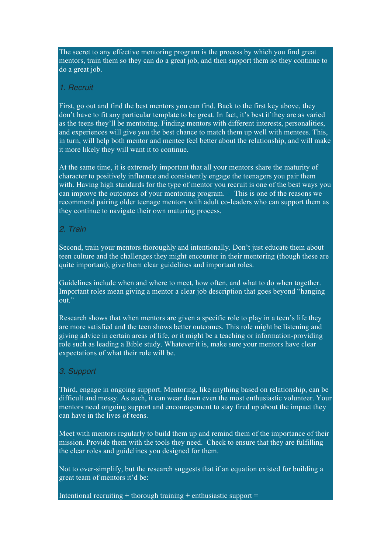The secret to any effective mentoring program is the process by which you find great mentors, train them so they can do a great job, and then support them so they continue to do a great job.

#### *1. Recruit*

First, go out and find the best mentors you can find. Back to the first key above, they don't have to fit any particular template to be great. In fact, it's best if they are as varied as the teens they'll be mentoring. Finding mentors with different interests, personalities, and experiences will give you the best chance to match them up well with mentees. This, in turn, will help both mentor and mentee feel better about the relationship, and will make it more likely they will want it to continue.

At the same time, it is extremely important that all your mentors share the maturity of character to positively influence and consistently engage the teenagers you pair them with. Having high standards for the type of mentor you recruit is one of the best ways you can improve the outcomes of your mentoring program. This is one of the reasons we recommend pairing older teenage mentors with adult co-leaders who can support them as they continue to navigate their own maturing process.

### *2. Train*

Second, train your mentors thoroughly and intentionally. Don't just educate them about teen culture and the challenges they might encounter in their mentoring (though these are quite important); give them clear guidelines and important roles.

Guidelines include when and where to meet, how often, and what to do when together. Important roles mean giving a mentor a clear job description that goes beyond "hanging out."

Research shows that when mentors are given a specific role to play in a teen's life they are more satisfied and the teen shows better outcomes. This role might be listening and giving advice in certain areas of life, or it might be a teaching or information-providing role such as leading a Bible study. Whatever it is, make sure your mentors have clear expectations of what their role will be.

#### *3. Support*

Third, engage in ongoing support. Mentoring, like anything based on relationship, can be difficult and messy. As such, it can wear down even the most enthusiastic volunteer. Your mentors need ongoing support and encouragement to stay fired up about the impact they can have in the lives of teens.

Meet with mentors regularly to build them up and remind them of the importance of their mission. Provide them with the tools they need. Check to ensure that they are fulfilling the clear roles and guidelines you designed for them.

Not to over-simplify, but the research suggests that if an equation existed for building a great team of mentors it'd be:

Intentional recruiting  $+$  thorough training  $+$  enthusiastic support  $=$